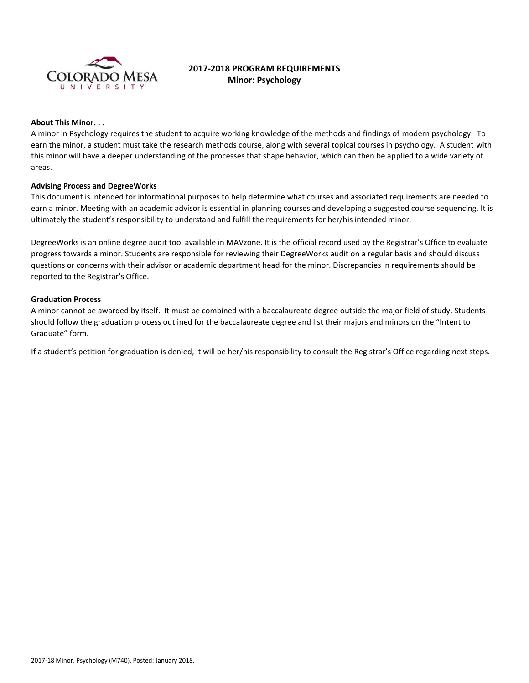

# **2017-2018 PROGRAM REQUIREMENTS Minor: Psychology**

#### **About This Minor. . .**

A minor in Psychology requires the student to acquire working knowledge of the methods and findings of modern psychology. To earn the minor, a student must take the research methods course, along with several topical courses in psychology. A student with this minor will have a deeper understanding of the processes that shape behavior, which can then be applied to a wide variety of areas.

### **Advising Process and DegreeWorks**

This document is intended for informational purposes to help determine what courses and associated requirements are needed to earn a minor. Meeting with an academic advisor is essential in planning courses and developing a suggested course sequencing. It is ultimately the student's responsibility to understand and fulfill the requirements for her/his intended minor.

DegreeWorks is an online degree audit tool available in MAVzone. It is the official record used by the Registrar's Office to evaluate progress towards a minor. Students are responsible for reviewing their DegreeWorks audit on a regular basis and should discuss questions or concerns with their advisor or academic department head for the minor. Discrepancies in requirements should be reported to the Registrar's Office.

### **Graduation Process**

A minor cannot be awarded by itself. It must be combined with a baccalaureate degree outside the major field of study. Students should follow the graduation process outlined for the baccalaureate degree and list their majors and minors on the "Intent to Graduate" form.

If a student's petition for graduation is denied, it will be her/his responsibility to consult the Registrar's Office regarding next steps.